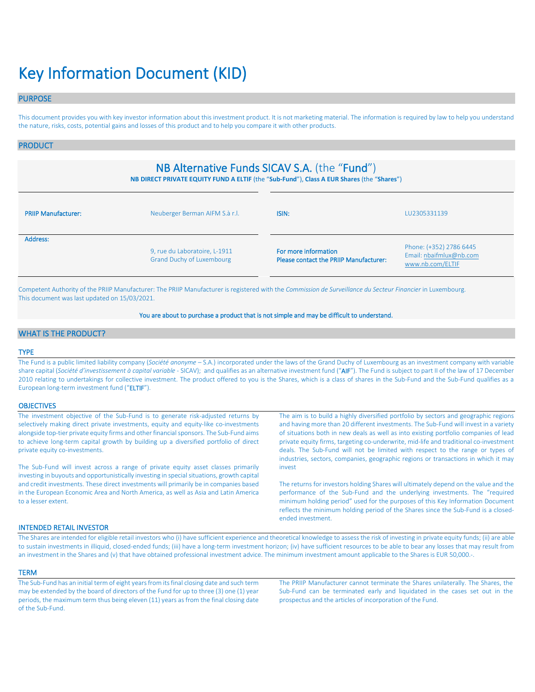# Key Information Document (KID)

# PURPOSE

This document provides you with key investor information about this investment product. It is not marketing material. The information is required by law to help you understand the nature, risks, costs, potential gains and losses of this product and to help you compare it with other products.

### PRODUCT

# NB Alternative Funds SICAV S.A. (the "Fund")

**NB DIRECT PRIVATE EQUITY FUND A ELTIF** (the "**Sub-Fund**"), **Class A EUR Shares** (the "**Shares**")

| <b>PRIIP Manufacturer:</b> | Neuberger Berman AIFM S.à r.l.                                    |                                                                | LU2305331139                                                           |
|----------------------------|-------------------------------------------------------------------|----------------------------------------------------------------|------------------------------------------------------------------------|
| Address:                   | 9, rue du Laboratoire, L-1911<br><b>Grand Duchy of Luxembourg</b> | For more information<br>Please contact the PRIIP Manufacturer: | Phone: (+352) 2786 6445<br>Email: nbaifmlux@nb.com<br>www.nb.com/ELTIF |

Competent Authority of the PRIIP Manufacturer: The PRIIP Manufacturer is registered with the *Commission de Surveillance du Secteur Financier* in Luxembourg. This document was last updated on 15/03/2021.

#### You are about to purchase a product that is not simple and may be difficult to understand.

# WHAT IS THE PRODUCT?

#### TYPE

The Fund is a public limited liability company (*Société anonyme* – S.A.) incorporated under the laws of the Grand Duchy of Luxembourg as an investment company with variable share capital (*Société d'investissement à capital variable* - SICAV); and qualifies as an alternative investment fund ("AIF"). The Fund is subject to part II of the law of 17 December 2010 relating to undertakings for collective investment. The product offered to you is the Shares, which is a class of shares in the Sub-Fund and the Sub-Fund qualifies as a European long-term investment fund ("ELTIF").

#### **OBJECTIVES**

| The investment objective of the Sub-Fund is to generate risk-adjusted returns by<br>selectively making direct private investments, equity and equity-like co-investments                           | The aim is to build a highly diversified portfolio by sectors and geographic regions<br>and having more than 20 different investments. The Sub-Fund will invest in a variety                                                                                                                                                                                  |
|----------------------------------------------------------------------------------------------------------------------------------------------------------------------------------------------------|---------------------------------------------------------------------------------------------------------------------------------------------------------------------------------------------------------------------------------------------------------------------------------------------------------------------------------------------------------------|
| alongside top-tier private equity firms and other financial sponsors. The Sub-Fund aims                                                                                                            | of situations both in new deals as well as into existing portfolio companies of lead                                                                                                                                                                                                                                                                          |
| to achieve long-term capital growth by building up a diversified portfolio of direct                                                                                                               | private equity firms, targeting co-underwrite, mid-life and traditional co-investment                                                                                                                                                                                                                                                                         |
| private equity co-investments.                                                                                                                                                                     | deals. The Sub-Fund will not be limited with respect to the range or types of<br>industries, sectors, companies, geographic regions or transactions in which it may                                                                                                                                                                                           |
| The Sub-Fund will invest across a range of private equity asset classes primarily<br>investing in buyouts and opportunistically investing in special situations, growth capital                    | invest                                                                                                                                                                                                                                                                                                                                                        |
| and credit investments. These direct investments will primarily be in companies based<br>in the European Economic Area and North America, as well as Asia and Latin America<br>to a lesser extent. | The returns for investors holding Shares will ultimately depend on the value and the<br>performance of the Sub-Fund and the underlying investments. The "required<br>minimum holding period" used for the purposes of this Key Information Document<br>reflects the minimum holding period of the Shares since the Sub-Fund is a closed-<br>ended investment. |
|                                                                                                                                                                                                    |                                                                                                                                                                                                                                                                                                                                                               |

#### INTENDED RETAIL INVESTOR

The Shares are intended for eligible retail investors who (i) have sufficient experience and theoretical knowledge to assess the risk of investing in private equity funds; (ii) are able to sustain investments in illiquid, closed-ended funds; (iii) have a long-term investment horizon; (iv) have sufficient resources to be able to bear any losses that may result from an investment in the Shares and (v) that have obtained professional investment advice. The minimum investment amount applicable to the Shares is EUR 50,000.-.

#### **TERM**

The Sub-Fund has an initial term of eight years from its final closing date and such term may be extended by the board of directors of the Fund for up to three (3) one (1) year periods, the maximum term thus being eleven (11) years as from the final closing date of the Sub-Fund.

The PRIIP Manufacturer cannot terminate the Shares unilaterally. The Shares, the Sub-Fund can be terminated early and liquidated in the cases set out in the prospectus and the articles of incorporation of the Fund.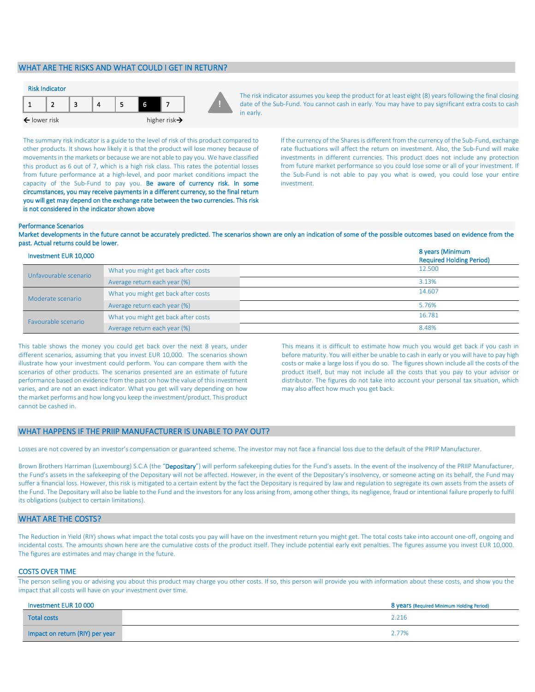# WHAT ARE THE RISKS AND WHAT COULD I GET IN RETURN?



The risk indicator assumes you keep the product for at least eight (8) years following the final closing date of the Sub-Fund. You cannot cash in early. You may have to pay significant extra costs to cash in early.

The summary risk indicator is a guide to the level of risk of this product compared to other products. It shows how likely it is that the product will lose money because of movements in the markets or because we are not able to pay you. We have classified this product as 6 out of 7, which is a high risk class. This rates the potential losses from future performance at a high-level, and poor market conditions impact the capacity of the Sub-Fund to pay you. Be aware of currency risk. In some circumstances, you may receive payments in a different currency, so the final return you will get may depend on the exchange rate between the two currencies. This risk is not considered in the indicator shown above

If the currency of the Shares is different from the currency of the Sub-Fund, exchange rate fluctuations will affect the return on investment. Also, the Sub-Fund will make investments in different currencies. This product does not include any protection from future market performance so you could lose some or all of your investment. If the Sub-Fund is not able to pay you what is owed, you could lose your entire investment.

#### Performance Scenarios

Market developments in the future cannot be accurately predicted. The scenarios shown are only an indication of some of the possible outcomes based on evidence from the past. Actual returns could be lower.

| Investment EUR 10,000 |                                     | 8 years (Minimum<br><b>Required Holding Period)</b> |
|-----------------------|-------------------------------------|-----------------------------------------------------|
| Unfavourable scenario | What you might get back after costs | 12.500                                              |
|                       | Average return each year (%)        | 3.13%                                               |
| Moderate scenario     | What you might get back after costs | 14.607                                              |
|                       | Average return each year (%)        | 5.76%                                               |
| Favourable scenario   | What you might get back after costs | 16.781                                              |
|                       | Average return each year (%)        | 8.48%                                               |

This table shows the money you could get back over the next 8 years, under different scenarios, assuming that you invest EUR 10,000. The scenarios shown illustrate how your investment could perform. You can compare them with the scenarios of other products. The scenarios presented are an estimate of future performance based on evidence from the past on how the value of this investment varies, and are not an exact indicator. What you get will vary depending on how the market performs and how long you keep the investment/product. This product cannot be cashed in.

This means it is difficult to estimate how much you would get back if you cash in before maturity. You will either be unable to cash in early or you will have to pay high costs or make a large loss if you do so. The figures shown include all the costs of the product itself, but may not include all the costs that you pay to your advisor or distributor. The figures do not take into account your personal tax situation, which may also affect how much you get back.

#### WHAT HAPPENS IF THE PRIIP MANUFACTURER IS UNABLE TO PAY OUT?

Losses are not covered by an investor's compensation or guaranteed scheme. The investor may not face a financial loss due to the default of the PRIIP Manufacturer.

Brown Brothers Harriman (Luxembourg) S.C.A (the "Depositary") will perform safekeeping duties for the Fund's assets. In the event of the insolvency of the PRIIP Manufacturer, the Fund's assets in the safekeeping of the Depositary will not be affected. However, in the event of the Depositary's insolvency, or someone acting on its behalf, the Fund may suffer a financial loss. However, this risk is mitigated to a certain extent by the fact the Depositary is required by law and regulation to segregate its own assets from the assets of the Fund. The Depositary will also be liable to the Fund and the investors for any loss arising from, among other things, its negligence, fraud or intentional failure properly to fulfil its obligations (subject to certain limitations).

# WHAT ARE THE COSTS?

The Reduction in Yield (RIY) shows what impact the total costs you pay will have on the investment return you might get. The total costs take into account one-off, ongoing and incidental costs. The amounts shown here are the cumulative costs of the product itself. They include potential early exit penalties. The figures assume you invest EUR 10,000. The figures are estimates and may change in the future.

#### COSTS OVER TIME

The person selling you or advising you about this product may charge you other costs. If so, this person will provide you with information about these costs, and show you the impact that all costs will have on your investment over time.

| Investment EUR 10 000           | 8 years (Required Minimum Holding Period) |
|---------------------------------|-------------------------------------------|
| <b>Total costs</b>              | 2.216                                     |
| Impact on return (RIY) per year | 2.77%                                     |